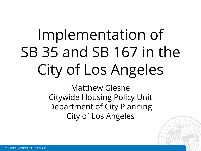# Implementation of SB 35 and SB 167 in the City of Los Angeles

Matthew Glesne Citywide Housing Policy Unit Department of City Planning City of Los Angeles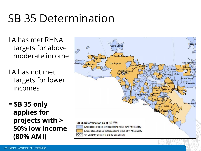#### SB 35 Determination

LA has met RHNA targets for above moderate income

LA has not met targets for lower incomes

**= SB 35 only applies for projects with > 50% low income (80% AMI)**

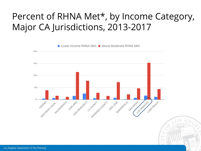#### Percent of RHNA Met\*, by Income Category, Major CA Jurisdictions, 2013-2017

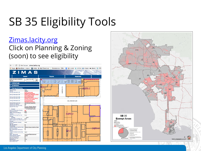### SB 35 Eligibility Tools

#### [Zimas.lacity.org](http://zimas.lacity.org/) Click on Planning & Zoning (soon) to see eligibility



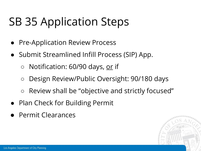#### SB 35 Application Steps

- Pre-Application Review Process
- Submit Streamlined Infill Process (SIP) App.
	- Notification: 60/90 days, or if
	- Design Review/Public Oversight: 90/180 days
	- Review shall be "objective and strictly focused"
- Plan Check for Building Permit
- Permit Clearances

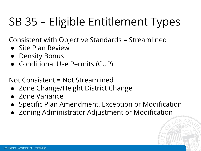### SB 35 – Eligible Entitlement Types

Consistent with Objective Standards = Streamlined

- Site Plan Review
- Density Bonus
- Conditional Use Permits (CUP)

Not Consistent = Not Streamlined

- Zone Change/Height District Change
- Zone Variance
- Specific Plan Amendment, Exception or Modification
- Zoning Administrator Adjustment or Modification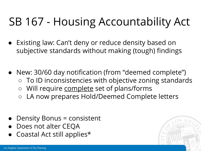#### SB 167 - Housing Accountability Act

- Existing law: Can't deny or reduce density based on subjective standards without making (tough) findings
- New: 30/60 day notification (from "deemed complete")
	- To ID inconsistencies with objective zoning standards
	- Will require complete set of plans/forms
	- LA now prepares Hold/Deemed Complete letters
- Density Bonus = consistent
- Does not alter CEQA
- Coastal Act still applies\*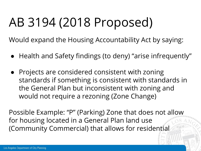## AB 3194 (2018 Proposed)

Would expand the Housing Accountability Act by saying:

- Health and Safety findings (to deny) "arise infrequently"
- Projects are considered consistent with zoning standards if something is consistent with standards in the General Plan but inconsistent with zoning and would not require a rezoning (Zone Change)

Possible Example: "P" (Parking) Zone that does not allow for housing located in a General Plan land use (Community Commercial) that allows for residential